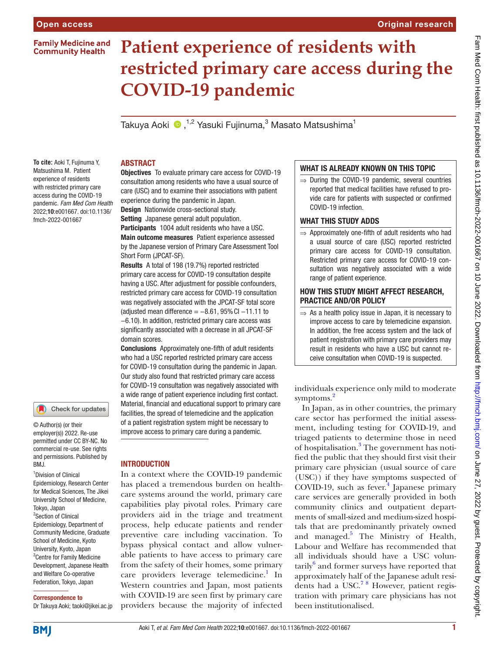# **Family Medicine and Community Health**

# **Patient experience of residents with restricted primary care access during the COVID-19 pandemic**

Takuya Aoki ��, $^{1,2}$  Yasuki Fujinuma, $^3$  Masato Matsushima $^1$ 

**To cite:** Aoki T, Fujinuma Y, Matsushima M. Patient experience of residents with restricted primary care access during the COVID-19 pandemic. *Fam Med Com Health* 2022;10:e001667. doi:10.1136/ fmch-2022-001667

#### Check for updates

© Author(s) (or their employer(s)) 2022. Re-use permitted under CC BY-NC. No commercial re-use. See rights and permissions. Published by RM<sub>J</sub>

1 Division of Clinical Epidemiology, Research Center for Medical Sciences, The Jikei University School of Medicine, Tokyo, Japan 2 Section of Clinical Epidemiology, Department of Community Medicine, Graduate School of Medicine, Kyoto University, Kyoto, Japan 3 Centre for Family Medicine Development, Japanese Health and Welfare Co-operative Federation, Tokyo, Japan

#### Correspondence to

Dr Takuya Aoki; taoki@jikei.ac.jp

# ABSTRACT

Objectives To evaluate primary care access for COVID-19 consultation among residents who have a usual source of care (USC) and to examine their associations with patient experience during the pandemic in Japan.

Design Nationwide cross-sectional study. Setting Japanese general adult population.

Participants 1004 adult residents who have a USC. Main outcome measures Patient experience assessed by the Japanese version of Primary Care Assessment Tool Short Form (JPCAT-SF).

Results A total of 198 (19.7%) reported restricted primary care access for COVID-19 consultation despite having a USC. After adjustment for possible confounders, restricted primary care access for COVID-19 consultation was negatively associated with the JPCAT-SF total score (adjusted mean difference =  $-8.61$ , 95% CI  $-11.11$  to −6.10). In addition, restricted primary care access was significantly associated with a decrease in all JPCAT-SF domain scores.

Conclusions Approximately one-fifth of adult residents who had a USC reported restricted primary care access for COVID-19 consultation during the pandemic in Japan. Our study also found that restricted primary care access for COVID-19 consultation was negatively associated with a wide range of patient experience including first contact. Material, financial and educational support to primary care facilities, the spread of telemedicine and the application of a patient registration system might be necessary to improve access to primary care during a pandemic.

## **INTRODUCTION**

In a context where the COVID-19 pandemic has placed a tremendous burden on healthcare systems around the world, primary care capabilities play pivotal roles. Primary care providers aid in the triage and treatment process, help educate patients and render preventive care including vaccination. To bypass physical contact and allow vulnerable patients to have access to primary care from the safety of their homes, some primary care providers leverage telemedicine.<sup>1</sup> In Western countries and Japan, most patients with COVID-19 are seen first by primary care providers because the majority of infected

## WHAT IS ALREADY KNOWN ON THIS TOPIC

 $\Rightarrow$  During the COVID-19 pandemic, several countries reported that medical facilities have refused to provide care for patients with suspected or confirmed COVID-19 infection.

## WHAT THIS STUDY ADDS

 $\Rightarrow$  Approximately one-fifth of adult residents who had a usual source of care (USC) reported restricted primary care access for COVID-19 consultation. Restricted primary care access for COVID-19 consultation was negatively associated with a wide range of patient experience.

# HOW THIS STUDY MIGHT AFFECT RESEARCH, PRACTICE AND/OR POLICY

 $\Rightarrow$  As a health policy issue in Japan, it is necessary to improve access to care by telemedicine expansion. In addition, the free access system and the lack of patient registration with primary care providers may result in residents who have a USC but cannot receive consultation when COVID-19 is suspected.

individuals experience only mild to moderate symptoms.<sup>2</sup>

In Japan, as in other countries, the primary care sector has performed the initial assessment, including testing for COVID-19, and triaged patients to determine those in need of hospitalisation.<sup>[3](#page-5-1)</sup> The government has notified the public that they should first visit their primary care physician (usual source of care (USC)) if they have symptoms suspected of COVID-19, such as fever. [4](#page-5-2) Japanese primary care services are generally provided in both community clinics and outpatient departments of small-sized and medium-sized hospitals that are predominantly privately owned and managed.<sup>[5](#page-5-3)</sup> The Ministry of Health, Labour and Welfare has recommended that all individuals should have a USC volun- $\text{tarily}^6$  and former surveys have reported that approximately half of the Japanese adult residents had a USC.<sup>78</sup> However, patient registration with primary care physicians has not been institutionalised.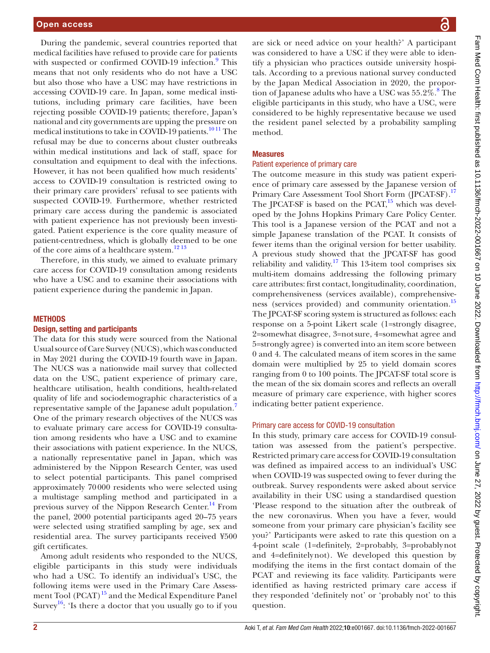During the pandemic, several countries reported that medical facilities have refused to provide care for patients with suspected or confirmed COVID-1[9](#page-5-6) infection.<sup>9</sup> This means that not only residents who do not have a USC but also those who have a USC may have restrictions in accessing COVID-19 care. In Japan, some medical institutions, including primary care facilities, have been rejecting possible COVID-19 patients; therefore, Japan's national and city governments are upping the pressure on medical institutions to take in COVID-19 patients.<sup>1011</sup> The refusal may be due to concerns about cluster outbreaks within medical institutions and lack of staff, space for consultation and equipment to deal with the infections. However, it has not been qualified how much residents' access to COVID-19 consultation is restricted owing to their primary care providers' refusal to see patients with suspected COVID-19. Furthermore, whether restricted primary care access during the pandemic is associated with patient experience has not previously been investigated. Patient experience is the core quality measure of patient-centredness, which is globally deemed to be one of the core aims of a healthcare system.<sup>[12 13](#page-5-8)</sup>

Therefore, in this study, we aimed to evaluate primary care access for COVID-19 consultation among residents who have a USC and to examine their associations with patient experience during the pandemic in Japan.

## **METHODS**

## Design, setting and participants

The data for this study were sourced from the National Usual source of Care Survey (NUCS), which was conducted in May 2021 during the COVID-19 fourth wave in Japan. The NUCS was a nationwide mail survey that collected data on the USC, patient experience of primary care, healthcare utilisation, health conditions, health-related quality of life and sociodemographic characteristics of a representative sample of the Japanese adult population.[7](#page-5-5) One of the primary research objectives of the NUCS was to evaluate primary care access for COVID-19 consultation among residents who have a USC and to examine their associations with patient experience. In the NUCS, a nationally representative panel in Japan, which was administered by the Nippon Research Center, was used to select potential participants. This panel comprised approximately 70000 residents who were selected using a multistage sampling method and participated in a previous survey of the Nippon Research Center.<sup>[14](#page-5-9)</sup> From the panel, 2000 potential participants aged 20–75 years were selected using stratified sampling by age, sex and residential area. The survey participants received ¥500 gift certificates.

Among adult residents who responded to the NUCS, eligible participants in this study were individuals who had a USC. To identify an individual's USC, the following items were used in the Primary Care Assessment Tool  $(PCAT)^{15}$  and the Medical Expenditure Panel Survey<sup>16</sup>: 'Is there a doctor that you usually go to if you

are sick or need advice on your health?' A participant was considered to have a USC if they were able to identify a physician who practices outside university hospitals. According to a previous national survey conducted by the Japan Medical Association in 2020, the propor-tion of Japanese adults who have a USC was 55.2%.<sup>[8](#page-5-12)</sup> The eligible participants in this study, who have a USC, were considered to be highly representative because we used the resident panel selected by a probability sampling method.

## Measures

#### Patient experience of primary care

The outcome measure in this study was patient experience of primary care assessed by the Japanese version of Primary Care Assessment Tool Short Form (JPCAT-SF).<sup>[17](#page-5-13)</sup> The JPCAT-SF is based on the PCAT, $15$  which was developed by the Johns Hopkins Primary Care Policy Center. This tool is a Japanese version of the PCAT and not a simple Japanese translation of the PCAT. It consists of fewer items than the original version for better usability. A previous study showed that the JPCAT-SF has good reliability and validity.<sup>[17](#page-5-13)</sup> This 13-item tool comprises six multi-item domains addressing the following primary care attributes: first contact, longitudinality, coordination, comprehensiveness (services available), comprehensive-ness (services provided) and community orientation.<sup>[15](#page-5-10)</sup> The JPCAT-SF scoring system is structured as follows: each response on a 5-point Likert scale (1=strongly disagree, 2=somewhat disagree, 3=notsure, 4=somewhat agree and 5=strongly agree) is converted into an item score between 0 and 4. The calculated means of item scores in the same domain were multiplied by 25 to yield domain scores ranging from 0 to 100 points. The JPCAT-SF total score is the mean of the six domain scores and reflects an overall measure of primary care experience, with higher scores indicating better patient experience.

#### Primary care access for COVID-19 consultation

In this study, primary care access for COVID-19 consultation was assessed from the patient's perspective. Restricted primary care access for COVID-19 consultation was defined as impaired access to an individual's USC when COVID-19 was suspected owing to fever during the outbreak. Survey respondents were asked about service availability in their USC using a standardised question 'Please respond to the situation after the outbreak of the new coronavirus. When you have a fever, would someone from your primary care physician's facility see you?' Participants were asked to rate this question on a 4-point scale (1=definitely, 2=probably, 3=probablynot and 4=definitelynot). We developed this question by modifying the items in the first contact domain of the PCAT and reviewing its face validity. Participants were identified as having restricted primary care access if they responded 'definitely not' or 'probably not' to this question.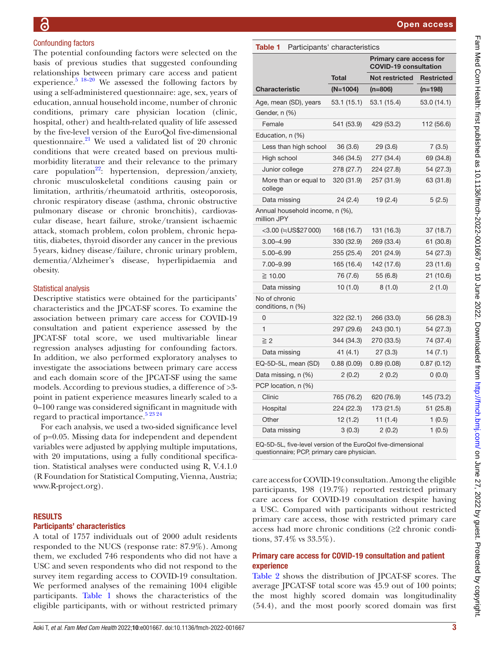# Confounding factors

The potential confounding factors were selected on the basis of previous studies that suggested confounding relationships between primary care access and patient experience.<sup>5</sup>  $18-20$  We assessed the following factors by using a self-administered questionnaire: age, sex, years of education, annual household income, number of chronic conditions, primary care physician location (clinic, hospital, other) and health-related quality of life assessed by the five-level version of the EuroQol five-dimensional questionnaire. $^{21}$  $^{21}$  $^{21}$  We used a validated list of 20 chronic conditions that were created based on previous multimorbidity literature and their relevance to the primary care population<sup>22</sup>: hypertension, depression/anxiety, chronic musculoskeletal conditions causing pain or limitation, arthritis/rheumatoid arthritis, osteoporosis, chronic respiratory disease (asthma, chronic obstructive pulmonary disease or chronic bronchitis), cardiovascular disease, heart failure, stroke/transient ischaemic attack, stomach problem, colon problem, chronic hepatitis, diabetes, thyroid disorder any cancer in the previous 5years, kidney disease/failure, chronic urinary problem, dementia/Alzheimer's disease, hyperlipidaemia and obesity.

## Statistical analysis

Descriptive statistics were obtained for the participants' characteristics and the JPCAT-SF scores. To examine the association between primary care access for COVID-19 consultation and patient experience assessed by the JPCAT-SF total score, we used multivariable linear regression analyses adjusting for confounding factors. In addition, we also performed exploratory analyses to investigate the associations between primary care access and each domain score of the JPCAT-SF using the same models. According to previous studies, a difference of >3 point in patient experience measures linearly scaled to a 0–100 range was considered significant in magnitude with regard to practical importance. $5^{23}$ <sup>24</sup>

For each analysis, we used a two-sided significance level of p=0.05. Missing data for independent and dependent variables were adjusted by applying multiple imputations, with 20 imputations, using a fully conditional specification. Statistical analyses were conducted using R, V.4.1.0 (R Foundation for Statistical Computing, Vienna, Austria; [www.R-project.org\)](www.R-project.org).

## **RESULTS**

#### Participants' characteristics

A total of 1757 individuals out of 2000 adult residents responded to the NUCS (response rate: 87.9%). Among them, we excluded 746 respondents who did not have a USC and seven respondents who did not respond to the survey item regarding access to COVID-19 consultation. We performed analyses of the remaining 1004 eligible participants. [Table](#page-2-0) 1 shows the characteristics of the eligible participants, with or without restricted primary

<span id="page-2-0"></span>

| Table 1<br>Participants' characteristics       |              |                                                                |                   |  |
|------------------------------------------------|--------------|----------------------------------------------------------------|-------------------|--|
|                                                |              | <b>Primary care access for</b><br><b>COVID-19 consultation</b> |                   |  |
|                                                | <b>Total</b> | <b>Not restricted</b>                                          | <b>Restricted</b> |  |
| <b>Characteristic</b>                          | $(N=1004)$   | $(n=806)$                                                      | (n=198)           |  |
| Age, mean (SD), years                          | 53.1 (15.1)  | 53.1 (15.4)                                                    | 53.0 (14.1)       |  |
| Gender, n (%)                                  |              |                                                                |                   |  |
| Female                                         | 541 (53.9)   | 429 (53.2)                                                     | 112 (56.6)        |  |
| Education, n (%)                               |              |                                                                |                   |  |
| Less than high school                          | 36(3.6)      | 29 (3.6)                                                       | 7(3.5)            |  |
| High school                                    | 346 (34.5)   | 277 (34.4)                                                     | 69 (34.8)         |  |
| Junior college                                 | 278 (27.7)   | 224 (27.8)                                                     | 54 (27.3)         |  |
| More than or equal to<br>college               | 320 (31.9)   | 257 (31.9)                                                     | 63 (31.8)         |  |
| Data missing                                   | 24(2.4)      | 19 (2.4)                                                       | 5(2.5)            |  |
| Annual household income, n (%),<br>million JPY |              |                                                                |                   |  |
| <3.00 (≒US\$27 000)                            | 168 (16.7)   | 131 (16.3)                                                     | 37 (18.7)         |  |
| $3.00 - 4.99$                                  | 330 (32.9)   | 269 (33.4)                                                     | 61 (30.8)         |  |
| 5.00-6.99                                      | 255 (25.4)   | 201 (24.9)                                                     | 54 (27.3)         |  |
| 7.00-9.99                                      | 165 (16.4)   | 142 (17.6)                                                     | 23 (11.6)         |  |
| ≧ 10.00                                        | 76 (7.6)     | 55 (6.8)                                                       | 21 (10.6)         |  |
| Data missing                                   | 10(1.0)      | 8(1.0)                                                         | 2(1.0)            |  |
| No of chronic<br>conditions, n (%)             |              |                                                                |                   |  |
| 0                                              | 322 (32.1)   | 266 (33.0)                                                     | 56 (28.3)         |  |
| $\mathbf{1}$                                   | 297 (29.6)   | 243 (30.1)                                                     | 54 (27.3)         |  |
| $\geq$ 2                                       | 344 (34.3)   | 270 (33.5)                                                     | 74 (37.4)         |  |
| Data missing                                   | 41 (4.1)     | 27 (3.3)                                                       | 14 (7.1)          |  |
| EQ-5D-5L, mean (SD)                            | 0.88(0.09)   | 0.89(0.08)                                                     | 0.87(0.12)        |  |
| Data missing, n (%)                            | 2(0.2)       | 2(0.2)                                                         | 0(0.0)            |  |
| PCP location, n (%)                            |              |                                                                |                   |  |
| Clinic                                         | 765 (76.2)   | 620 (76.9)                                                     | 145 (73.2)        |  |
| Hospital                                       | 224 (22.3)   | 173 (21.5)                                                     | 51 (25.8)         |  |
| Other                                          | 12(1.2)      | 11(1.4)                                                        | 1(0.5)            |  |
| Data missing                                   | 3(0.3)       | 2(0.2)                                                         | 1(0.5)            |  |

EQ-5D-5L, five-level version of the EuroQol five-dimensional questionnaire; PCP, primary care physician.

care access for COVID-19 consultation. Among the eligible participants, 198 (19.7%) reported restricted primary care access for COVID-19 consultation despite having a USC. Compared with participants without restricted primary care access, those with restricted primary care access had more chronic conditions (≥2 chronic conditions, 37.4% vs 33.5%).

# Primary care access for COVID-19 consultation and patient experience

[Table](#page-3-0) 2 shows the distribution of JPCAT-SF scores. The average JPCAT-SF total score was 45.9 out of 100 points; the most highly scored domain was longitudinality (54.4), and the most poorly scored domain was first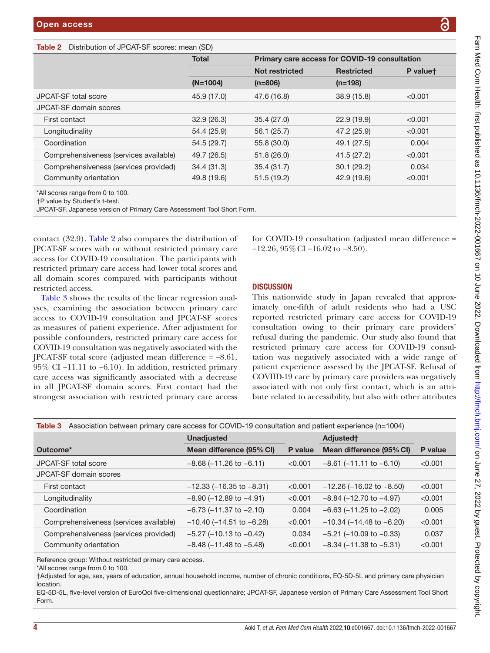# <span id="page-3-0"></span>Table 2 Distribution of JPCAT-SF scores: mean (SD)

|                                        | <b>Total</b> | Primary care access for COVID-19 consultation |                   |          |
|----------------------------------------|--------------|-----------------------------------------------|-------------------|----------|
|                                        |              | <b>Not restricted</b>                         | <b>Restricted</b> | P valuet |
|                                        | $(N=1004)$   | $(n=806)$                                     | $(n=198)$         |          |
| JPCAT-SF total score                   | 45.9 (17.0)  | 47.6 (16.8)                                   | 38.9 (15.8)       | < 0.001  |
| JPCAT-SF domain scores                 |              |                                               |                   |          |
| First contact                          | 32.9(26.3)   | 35.4(27.0)                                    | 22.9(19.9)        | < 0.001  |
| Longitudinality                        | 54.4 (25.9)  | 56.1 (25.7)                                   | 47.2 (25.9)       | < 0.001  |
| Coordination                           | 54.5 (29.7)  | 55.8 (30.0)                                   | 49.1 (27.5)       | 0.004    |
| Comprehensiveness (services available) | 49.7 (26.5)  | 51.8(26.0)                                    | 41.5(27.2)        | < 0.001  |
| Comprehensiveness (services provided)  | 34.4(31.3)   | 35.4(31.7)                                    | 30.1(29.2)        | 0.034    |
| Community orientation                  | 49.8 (19.6)  | 51.5(19.2)                                    | 42.9 (19.6)       | < 0.001  |

\*All scores range from 0 to 100.

†P value by Student's t-test.

JPCAT-SF, Japanese version of Primary Care Assessment Tool Short Form.

contact (32.9). [Table](#page-3-0) 2 also compares the distribution of JPCAT-SF scores with or without restricted primary care access for COVID-19 consultation. The participants with restricted primary care access had lower total scores and all domain scores compared with participants without restricted access.

[Table](#page-3-1) 3 shows the results of the linear regression analyses, examining the association between primary care access to COVID-19 consultation and JPCAT-SF scores as measures of patient experience. After adjustment for possible confounders, restricted primary care access for COVID-19 consultation was negatively associated with the JPCAT-SF total score (adjusted mean difference = −8.61, 95% CI −11.11 to −6.10). In addition, restricted primary care access was significantly associated with a decrease in all JPCAT-SF domain scores. First contact had the strongest association with restricted primary care access

for COVID-19 consultation (adjusted mean difference = −12.26, 95%CI −16.02 to −8.50).

## **DISCUSSION**

This nationwide study in Japan revealed that approximately one-fifth of adult residents who had a USC reported restricted primary care access for COVID-19 consultation owing to their primary care providers' refusal during the pandemic. Our study also found that restricted primary care access for COVID-19 consultation was negatively associated with a wide range of patient experience assessed by the JPCAT-SF. Refusal of COVIID-19 care by primary care providers was negatively associated with not only first contact, which is an attribute related to accessibility, but also with other attributes

<span id="page-3-1"></span>

| Association between primary care access for COVID-19 consultation and patient experience (n=1004)<br>Table 3 |                                  |         |                                  |         |  |  |
|--------------------------------------------------------------------------------------------------------------|----------------------------------|---------|----------------------------------|---------|--|--|
|                                                                                                              | <b>Unadjusted</b>                |         | Adjusted <sup>+</sup>            |         |  |  |
| Outcome*                                                                                                     | Mean difference (95% CI)         | P value | Mean difference (95% CI)         | P value |  |  |
| <b>JPCAT-SF total score</b>                                                                                  | $-8.68$ ( $-11.26$ to $-6.11$ )  | < 0.001 | $-8.61$ ( $-11.11$ to $-6.10$ )  | < 0.001 |  |  |
| JPCAT-SF domain scores                                                                                       |                                  |         |                                  |         |  |  |
| First contact                                                                                                | $-12.33$ ( $-16.35$ to $-8.31$ ) | < 0.001 | $-12.26$ ( $-16.02$ to $-8.50$ ) | < 0.001 |  |  |
| Longitudinality                                                                                              | $-8.90$ ( $-12.89$ to $-4.91$ )  | < 0.001 | $-8.84$ ( $-12.70$ to $-4.97$ )  | < 0.001 |  |  |
| Coordination                                                                                                 | $-6.73$ ( $-11.37$ to $-2.10$ )  | 0.004   | $-6.63$ ( $-11.25$ to $-2.02$ )  | 0.005   |  |  |
| Comprehensiveness (services available)                                                                       | $-10.40$ ( $-14.51$ to $-6.28$ ) | < 0.001 | $-10.34$ ( $-14.48$ to $-6.20$ ) | < 0.001 |  |  |
| Comprehensiveness (services provided)                                                                        | $-5.27$ ( $-10.13$ to $-0.42$ )  | 0.034   | $-5.21$ ( $-10.09$ to $-0.33$ )  | 0.037   |  |  |
| Community orientation                                                                                        | $-8.48$ ( $-11.48$ to $-5.48$ )  | < 0.001 | $-8.34$ ( $-11.38$ to $-5.31$ )  | < 0.001 |  |  |

Reference group: Without restricted primary care access.

†Adjusted for age, sex, years of education, annual household income, number of chronic conditions, EQ-5D-5L and primary care physician location.

EQ-5D-5L, five-level version of EuroQol five-dimensional questionnaire; JPCAT-SF, Japanese version of Primary Care Assessment Tool Short Form.

<sup>\*</sup>All scores range from 0 to 100.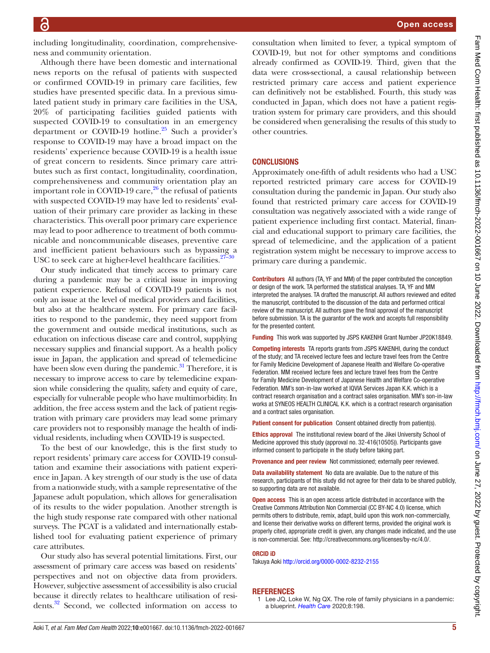including longitudinality, coordination, comprehensiveness and community orientation.

Although there have been domestic and international news reports on the refusal of patients with suspected or confirmed COVID-19 in primary care facilities, few studies have presented specific data. In a previous simulated patient study in primary care facilities in the USA, 20% of participating facilities guided patients with suspected COVID-19 to consultation in an emergency department or COVID-19 hotline.<sup>25</sup> Such a provider's response to COVID-19 may have a broad impact on the residents' experience because COVID-19 is a health issue of great concern to residents. Since primary care attributes such as first contact, longitudinality, coordination, comprehensiveness and community orientation play an important role in COVID-19 care, $^{26}$  the refusal of patients with suspected COVID-19 may have led to residents' evaluation of their primary care provider as lacking in these characteristics. This overall poor primary care experience may lead to poor adherence to treatment of both communicable and noncommunicable diseases, preventive care and inefficient patient behaviours such as bypassing a USC to seek care at higher-level healthcare facilities. $27 -$ 

Our study indicated that timely access to primary care during a pandemic may be a critical issue in improving patient experience. Refusal of COVID-19 patients is not only an issue at the level of medical providers and facilities, but also at the healthcare system. For primary care facilities to respond to the pandemic, they need support from the government and outside medical institutions, such as education on infectious disease care and control, supplying necessary supplies and financial support. As a health policy issue in Japan, the application and spread of telemedicine have been slow even during the pandemic. $31$  Therefore, it is necessary to improve access to care by telemedicine expansion while considering the quality, safety and equity of care, especially for vulnerable people who have multimorbidity. In addition, the free access system and the lack of patient registration with primary care providers may lead some primary care providers not to responsibly manage the health of individual residents, including when COVID-19 is suspected.

To the best of our knowledge, this is the first study to report residents' primary care access for COVID-19 consultation and examine their associations with patient experience in Japan. A key strength of our study is the use of data from a nationwide study, with a sample representative of the Japanese adult population, which allows for generalisation of its results to the wider population. Another strength is the high study response rate compared with other national surveys. The PCAT is a validated and internationally established tool for evaluating patient experience of primary care attributes.

Our study also has several potential limitations. First, our assessment of primary care access was based on residents' perspectives and not on objective data from providers. However, subjective assessment of accessibility is also crucial because it directly relates to healthcare utilisation of residents.[32](#page-5-20) Second, we collected information on access to consultation when limited to fever, a typical symptom of COVID-19, but not for other symptoms and conditions already confirmed as COVID-19. Third, given that the data were cross-sectional, a causal relationship between restricted primary care access and patient experience can definitively not be established. Fourth, this study was conducted in Japan, which does not have a patient registration system for primary care providers, and this should be considered when generalising the results of this study to other countries.

# **CONCLUSIONS**

Approximately one-fifth of adult residents who had a USC reported restricted primary care access for COVID-19 consultation during the pandemic in Japan. Our study also found that restricted primary care access for COVID-19 consultation was negatively associated with a wide range of patient experience including first contact. Material, financial and educational support to primary care facilities, the spread of telemedicine, and the application of a patient registration system might be necessary to improve access to primary care during a pandemic.

Contributors All authors (TA, YF and MM) of the paper contributed the conception or design of the work. TA performed the statistical analyses. TA, YF and MM interpreted the analyses. TA drafted the manuscript. All authors reviewed and edited the manuscript, contributed to the discussion of the data and performed critical review of the manuscript. All authors gave the final approval of the manuscript before submission. TA is the guarantor of the work and accepts full responsibility for the presented content.

Funding This work was supported by JSPS KAKENHI Grant Number JP20K18849.

Competing interests TA reports grants from JSPS KAKENHI, during the conduct of the study; and TA received lecture fees and lecture travel fees from the Centre for Family Medicine Development of Japanese Health and Welfare Co-operative Federation. MM received lecture fees and lecture travel fees from the Centre for Family Medicine Development of Japanese Health and Welfare Co-operative Federation. MM's son-in-law worked at IQVIA Services Japan K.K. which is a contract research organisation and a contract sales organisation. MM's son-in-law works at SYNEOS HEALTH CLINICAL K.K. which is a contract research organisation and a contract sales organisation.

Patient consent for publication Consent obtained directly from patient(s).

Ethics approval The institutional review board of the Jikei University School of Medicine approved this study (approval no. 32-416(10505)). Participants gave informed consent to participate in the study before taking part.

Provenance and peer review Not commissioned; externally peer reviewed.

Data availability statement No data are available. Due to the nature of this research, participants of this study did not agree for their data to be shared publicly, so supporting data are not available.

Open access This is an open access article distributed in accordance with the Creative Commons Attribution Non Commercial (CC BY-NC 4.0) license, which permits others to distribute, remix, adapt, build upon this work non-commercially, and license their derivative works on different terms, provided the original work is properly cited, appropriate credit is given, any changes made indicated, and the use is non-commercial. See: [http://creativecommons.org/licenses/by-nc/4.0/.](http://creativecommons.org/licenses/by-nc/4.0/)

#### ORCID iD

Takuya Aoki<http://orcid.org/0000-0002-8232-2155>

#### REFERENCES

<span id="page-4-0"></span>1 Lee JQ, Loke W, Ng QX. The role of family physicians in a pandemic: a blueprint. *[Health Care](http://dx.doi.org/10.3390/healthcare8030198)* 2020;8:198.